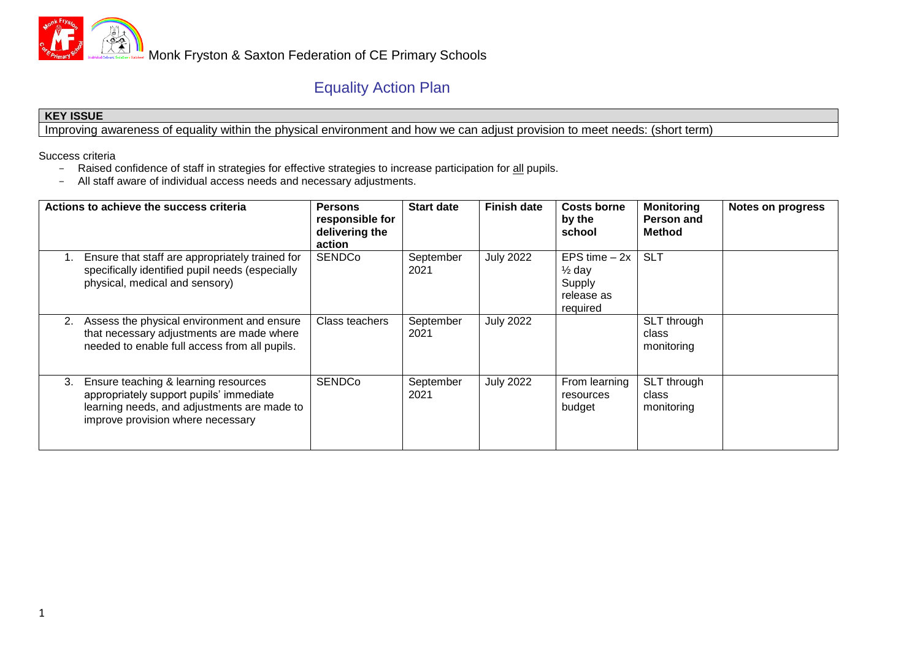

## Equality Action Plan

## **KEY ISSUE**

Improving awareness of equality within the physical environment and how we can adjust provision to meet needs: (short term)

Success criteria

- Raised confidence of staff in strategies for effective strategies to increase participation for all pupils.
- All staff aware of individual access needs and necessary adjustments.

| Actions to achieve the success criteria                                                                                                                                   | <b>Persons</b><br>responsible for<br>delivering the<br>action | <b>Start date</b> | <b>Finish date</b> | <b>Costs borne</b><br>by the<br>school                                  | <b>Monitoring</b><br>Person and<br><b>Method</b> | <b>Notes on progress</b> |
|---------------------------------------------------------------------------------------------------------------------------------------------------------------------------|---------------------------------------------------------------|-------------------|--------------------|-------------------------------------------------------------------------|--------------------------------------------------|--------------------------|
| Ensure that staff are appropriately trained for<br>specifically identified pupil needs (especially<br>physical, medical and sensory)                                      | <b>SENDCo</b>                                                 | September<br>2021 | <b>July 2022</b>   | EPS time $-2x$<br>$\frac{1}{2}$ day<br>Supply<br>release as<br>required | <b>SLT</b>                                       |                          |
| Assess the physical environment and ensure<br>2.<br>that necessary adjustments are made where<br>needed to enable full access from all pupils.                            | Class teachers                                                | September<br>2021 | <b>July 2022</b>   |                                                                         | SLT through<br>class<br>monitoring               |                          |
| Ensure teaching & learning resources<br>3.<br>appropriately support pupils' immediate<br>learning needs, and adjustments are made to<br>improve provision where necessary | <b>SENDCo</b>                                                 | September<br>2021 | <b>July 2022</b>   | From learning<br>resources<br>budget                                    | SLT through<br>class<br>monitoring               |                          |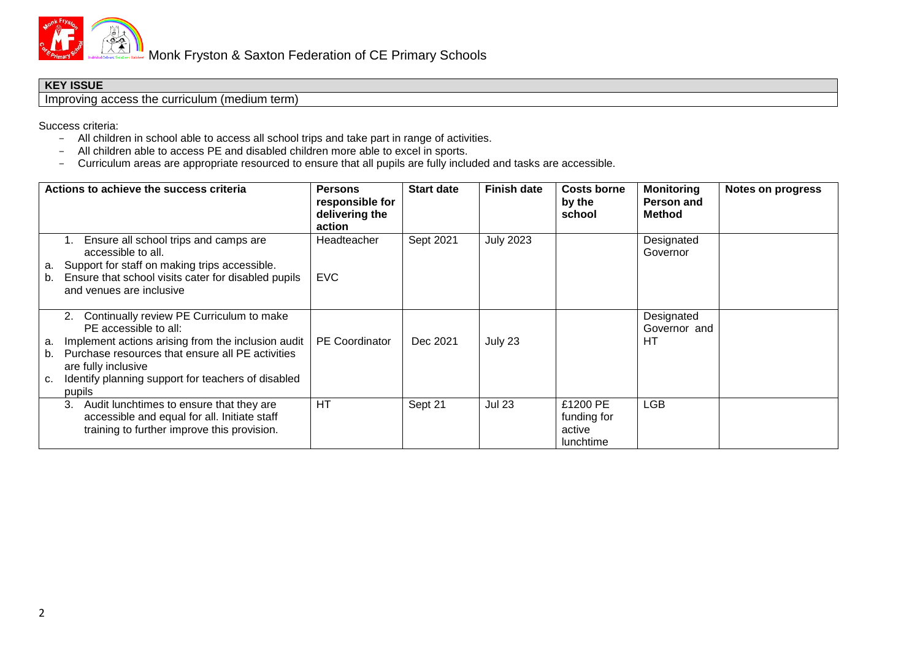

## **KEY ISSUE**

Improving access the curriculum (medium term)

Success criteria:

- All children in school able to access all school trips and take part in range of activities.
- All children able to access PE and disabled children more able to excel in sports.
- Curriculum areas are appropriate resourced to ensure that all pupils are fully included and tasks are accessible.

| Actions to achieve the success criteria |                                                                                                                                                                                                                                                                          | <b>Persons</b><br>responsible for<br>delivering the<br>action | <b>Start date</b> | <b>Finish date</b> | <b>Costs borne</b><br>by the<br>school                | <b>Monitoring</b><br>Person and<br>Method | <b>Notes on progress</b> |
|-----------------------------------------|--------------------------------------------------------------------------------------------------------------------------------------------------------------------------------------------------------------------------------------------------------------------------|---------------------------------------------------------------|-------------------|--------------------|-------------------------------------------------------|-------------------------------------------|--------------------------|
| а.<br>b.                                | Ensure all school trips and camps are<br>accessible to all.<br>Support for staff on making trips accessible.<br>Ensure that school visits cater for disabled pupils<br>and venues are inclusive                                                                          | Headteacher<br><b>EVC</b>                                     | Sept 2021         | <b>July 2023</b>   |                                                       | Designated<br>Governor                    |                          |
| а.<br>b.<br>с.                          | Continually review PE Curriculum to make<br>2.<br>PE accessible to all:<br>Implement actions arising from the inclusion audit<br>Purchase resources that ensure all PE activities<br>are fully inclusive<br>Identify planning support for teachers of disabled<br>pupils | <b>PE</b> Coordinator                                         | Dec 2021          | July 23            |                                                       | Designated<br>Governor and<br>HТ          |                          |
|                                         | Audit lunchtimes to ensure that they are<br>3.<br>accessible and equal for all. Initiate staff<br>training to further improve this provision.                                                                                                                            | HT                                                            | Sept 21           | <b>Jul 23</b>      | £1200 PE<br>funding for<br>active<br><b>lunchtime</b> | LGB                                       |                          |